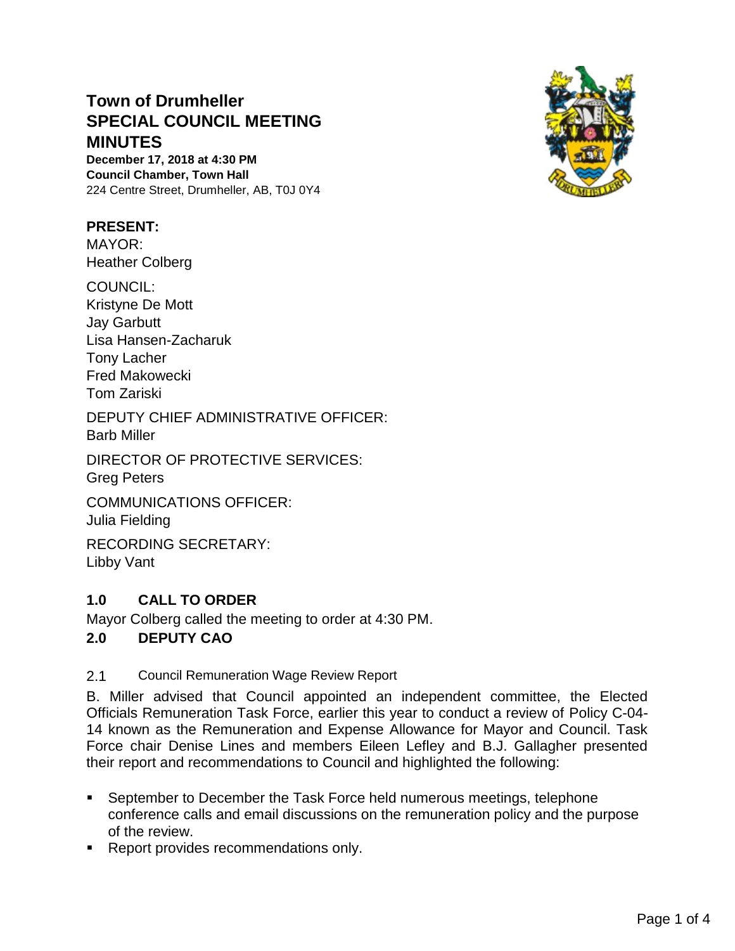# **Town of Drumheller SPECIAL COUNCIL MEETING MINUTES**

**December 17, 2018 at 4:30 PM Council Chamber, Town Hall** 224 Centre Street, Drumheller, AB, T0J 0Y4

## **PRESENT:**

MAYOR: Heather Colberg

COUNCIL: Kristyne De Mott Jay Garbutt Lisa Hansen-Zacharuk Tony Lacher Fred Makowecki Tom Zariski

DEPUTY CHIEF ADMINISTRATIVE OFFICER: Barb Miller

DIRECTOR OF PROTECTIVE SERVICES:

Greg Peters

COMMUNICATIONS OFFICER: Julia Fielding

RECORDING SECRETARY: Libby Vant

# **1.0 CALL TO ORDER**

Mayor Colberg called the meeting to order at 4:30 PM.

### **2.0 DEPUTY CAO**

2.1 Council Remuneration Wage Review Report

B. Miller advised that Council appointed an independent committee, the Elected Officials Remuneration Task Force, earlier this year to conduct a review of Policy C-04- 14 known as the Remuneration and Expense Allowance for Mayor and Council. Task Force chair Denise Lines and members Eileen Lefley and B.J. Gallagher presented their report and recommendations to Council and highlighted the following:

- September to December the Task Force held numerous meetings, telephone conference calls and email discussions on the remuneration policy and the purpose of the review.
- Report provides recommendations only.

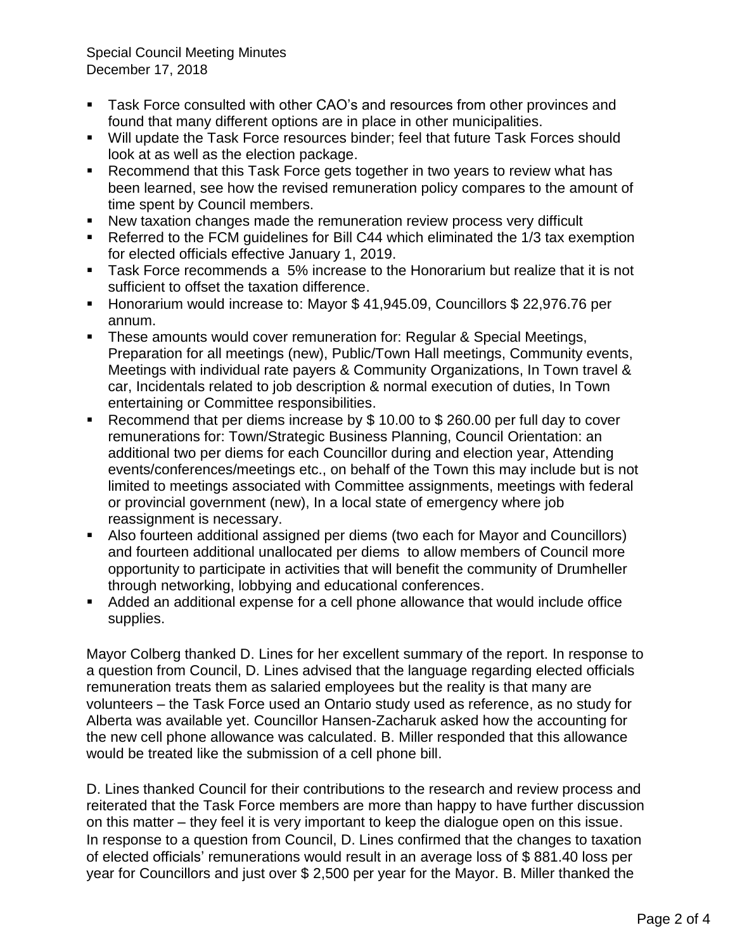Special Council Meeting Minutes December 17, 2018

- Task Force consulted with other CAO's and resources from other provinces and found that many different options are in place in other municipalities.
- Will update the Task Force resources binder; feel that future Task Forces should look at as well as the election package.
- Recommend that this Task Force gets together in two years to review what has been learned, see how the revised remuneration policy compares to the amount of time spent by Council members.
- New taxation changes made the remuneration review process very difficult
- Referred to the FCM guidelines for Bill C44 which eliminated the 1/3 tax exemption for elected officials effective January 1, 2019.
- Task Force recommends a 5% increase to the Honorarium but realize that it is not sufficient to offset the taxation difference.
- Honorarium would increase to: Mayor \$41,945.09, Councillors \$22,976.76 per annum.
- **EXECT** These amounts would cover remuneration for: Regular & Special Meetings, Preparation for all meetings (new), Public/Town Hall meetings, Community events, Meetings with individual rate payers & Community Organizations, In Town travel & car, Incidentals related to job description & normal execution of duties, In Town entertaining or Committee responsibilities.
- Recommend that per diems increase by  $$10.00$  to  $$260.00$  per full day to cover remunerations for: Town/Strategic Business Planning, Council Orientation: an additional two per diems for each Councillor during and election year, Attending events/conferences/meetings etc., on behalf of the Town this may include but is not limited to meetings associated with Committee assignments, meetings with federal or provincial government (new), In a local state of emergency where job reassignment is necessary.
- Also fourteen additional assigned per diems (two each for Mayor and Councillors) and fourteen additional unallocated per diems to allow members of Council more opportunity to participate in activities that will benefit the community of Drumheller through networking, lobbying and educational conferences.
- Added an additional expense for a cell phone allowance that would include office supplies.

Mayor Colberg thanked D. Lines for her excellent summary of the report. In response to a question from Council, D. Lines advised that the language regarding elected officials remuneration treats them as salaried employees but the reality is that many are volunteers – the Task Force used an Ontario study used as reference, as no study for Alberta was available yet. Councillor Hansen-Zacharuk asked how the accounting for the new cell phone allowance was calculated. B. Miller responded that this allowance would be treated like the submission of a cell phone bill.

D. Lines thanked Council for their contributions to the research and review process and reiterated that the Task Force members are more than happy to have further discussion on this matter – they feel it is very important to keep the dialogue open on this issue. In response to a question from Council, D. Lines confirmed that the changes to taxation of elected officials' remunerations would result in an average loss of \$ 881.40 loss per year for Councillors and just over \$ 2,500 per year for the Mayor. B. Miller thanked the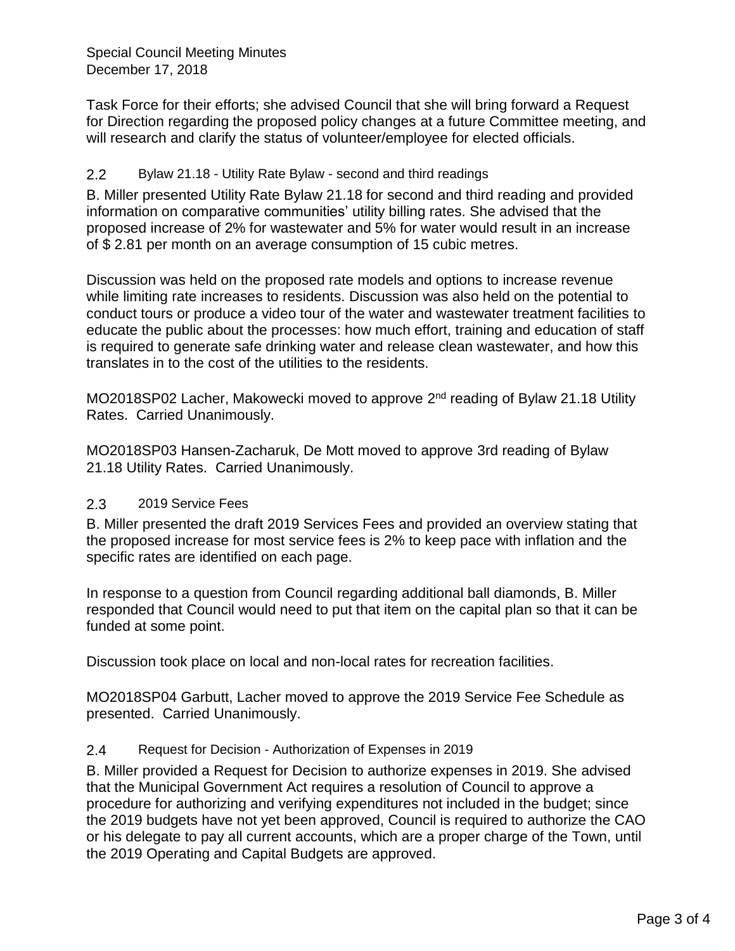Special Council Meeting Minutes December 17, 2018

Task Force for their efforts; she advised Council that she will bring forward a Request for Direction regarding the proposed policy changes at a future Committee meeting, and will research and clarify the status of volunteer/employee for elected officials.

## 2.2 Bylaw 21.18 - Utility Rate Bylaw - second and third readings

B. Miller presented Utility Rate Bylaw 21.18 for second and third reading and provided information on comparative communities' utility billing rates. She advised that the proposed increase of 2% for wastewater and 5% for water would result in an increase of \$ 2.81 per month on an average consumption of 15 cubic metres.

Discussion was held on the proposed rate models and options to increase revenue while limiting rate increases to residents. Discussion was also held on the potential to conduct tours or produce a video tour of the water and wastewater treatment facilities to educate the public about the processes: how much effort, training and education of staff is required to generate safe drinking water and release clean wastewater, and how this translates in to the cost of the utilities to the residents.

MO2018SP02 Lacher, Makowecki moved to approve 2<sup>nd</sup> reading of Bylaw 21.18 Utility Rates. Carried Unanimously.

MO2018SP03 Hansen-Zacharuk, De Mott moved to approve 3rd reading of Bylaw 21.18 Utility Rates. Carried Unanimously.

### 2.3 2019 Service Fees

B. Miller presented the draft 2019 Services Fees and provided an overview stating that the proposed increase for most service fees is 2% to keep pace with inflation and the specific rates are identified on each page.

In response to a question from Council regarding additional ball diamonds, B. Miller responded that Council would need to put that item on the capital plan so that it can be funded at some point.

Discussion took place on local and non-local rates for recreation facilities.

MO2018SP04 Garbutt, Lacher moved to approve the 2019 Service Fee Schedule as presented. Carried Unanimously.

### 2.4 Request for Decision - Authorization of Expenses in 2019

B. Miller provided a Request for Decision to authorize expenses in 2019. She advised that the Municipal Government Act requires a resolution of Council to approve a procedure for authorizing and verifying expenditures not included in the budget; since the 2019 budgets have not yet been approved, Council is required to authorize the CAO or his delegate to pay all current accounts, which are a proper charge of the Town, until the 2019 Operating and Capital Budgets are approved.